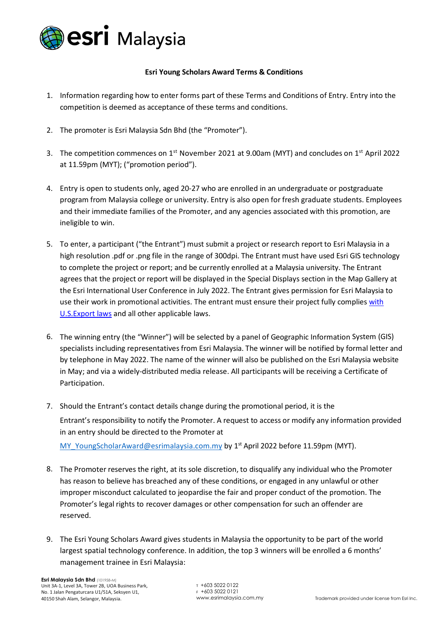

## **Esri Young Scholars Award Terms & Conditions**

- 1. Information regarding how to enter forms part of these Terms and Conditions of Entry. Entry into the competition is deemed as acceptance of these terms and conditions.
- 2. The promoter is Esri Malaysia Sdn Bhd (the "Promoter").
- 3. The competition commences on 1<sup>st</sup> November 2021 at 9.00am (MYT) and concludes on 1<sup>st</sup> April 2022 at 11.59pm (MYT); ("promotion period").
- 4. Entry is open to students only, aged 20-27 who are enrolled in an undergraduate or postgraduate program from Malaysia college or university. Entry is also open for fresh graduate students. Employees and their immediate families of the Promoter, and any agencies associated with this promotion, are ineligible to win.
- 5. To enter, a participant ("the Entrant") must submit a project or research report to Esri Malaysia in a high resolution .pdf or .png file in the range of 300dpi. The Entrant must have used Esri GIS technology to complete the project or report; and be currently enrolled at a Malaysia university. The Entrant agrees that the project or report will be displayed in the Special Displays section in the Map Gallery at the Esri International User Conference in July 2022. The Entrant gives permission for Esri Malaysia to use their work in promotional activities. The entrant must ensure their project fully complies with [U.S.Export laws](http://www.esri.com/legal/export-compliance) and all other applicable laws.
- 6. The winning entry (the "Winner") will be selected by a panel of Geographic Information System (GIS) specialists including representatives from Esri Malaysia. The winner will be notified by formal letter and by telephone in May 2022. The name of the winner will also be published on the Esri Malaysia website in May; and via a widely-distributed media release. All participants will be receiving a Certificate of Participation.
- 7. Should the Entrant's contact details change during the promotional period, it is the Entrant's responsibility to notify the Promoter. A request to access or modify any information provided in an entry should be directed to the Promoter at

MY YoungScholarAward@esrimalaysia.com.my by 1<sup>st</sup> April 2022 before 11.59pm (MYT).

- 8. The Promoter reserves the right, at its sole discretion, to disqualify any individual who the Promoter has reason to believe has breached any of these conditions, or engaged in any unlawful or other improper misconduct calculated to jeopardise the fair and proper conduct of the promotion. The Promoter's legal rights to recover damages or other compensation for such an offender are reserved.
- 9. The Esri Young Scholars Award gives students in Malaysia the opportunity to be part of the world largest spatial technology conference. In addition, the top 3 winners will be enrolled a 6 months' management trainee in Esri Malaysia: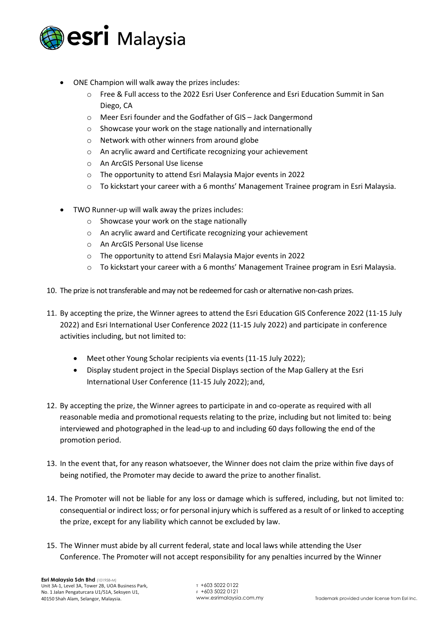

- ONE Champion will walk away the prizes includes:
	- o Free & Full access to the 2022 Esri User Conference and Esri Education Summit in San Diego, CA
	- o Meer Esri founder and the Godfather of GIS Jack Dangermond
	- o Showcase your work on the stage nationally and internationally
	- o Network with other winners from around globe
	- o An acrylic award and Certificate recognizing your achievement
	- o An ArcGIS Personal Use license
	- o The opportunity to attend Esri Malaysia Major events in 2022
	- $\circ$  To kickstart your career with a 6 months' Management Trainee program in Esri Malaysia.
- TWO Runner-up will walk away the prizes includes:
	- o Showcase your work on the stage nationally
	- o An acrylic award and Certificate recognizing your achievement
	- o An ArcGIS Personal Use license
	- o The opportunity to attend Esri Malaysia Major events in 2022
	- $\circ$  To kickstart your career with a 6 months' Management Trainee program in Esri Malaysia.
- 10. The prize is not transferable and may not be redeemed for cash or alternative non-cash prizes.
- 11. By accepting the prize, the Winner agrees to attend the Esri Education GIS Conference 2022 (11-15 July 2022) and Esri International User Conference 2022 (11-15 July 2022) and participate in conference activities including, but not limited to:
	- Meet other Young Scholar recipients via events (11-15 July 2022);
	- Display student project in the Special Displays section of the Map Gallery at the Esri International User Conference (11-15 July 2022);and,
- 12. By accepting the prize, the Winner agrees to participate in and co-operate as required with all reasonable media and promotional requests relating to the prize, including but not limited to: being interviewed and photographed in the lead-up to and including 60 days following the end of the promotion period.
- 13. In the event that, for any reason whatsoever, the Winner does not claim the prize within five days of being notified, the Promoter may decide to award the prize to another finalist.
- 14. The Promoter will not be liable for any loss or damage which is suffered, including, but not limited to: consequential or indirect loss; orfor personal injury which is suffered as a result of or linked to accepting the prize, except for any liability which cannot be excluded by law.
- 15. The Winner must abide by all current federal, state and local laws while attending the User Conference. The Promoter will not accept responsibility for any penalties incurred by the Winner